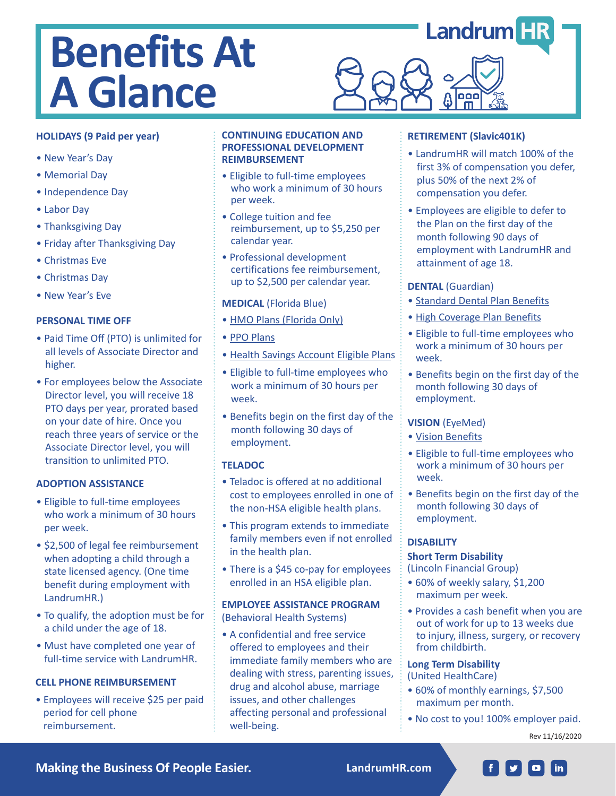# **Benefits At A Glance**

# **HOLIDAYS (9 Paid per year)**

- New Year's Day
- Memorial Day
- Independence Day
- Labor Day
- Thanksgiving Day
- Friday after Thanksgiving Day
- Christmas Eve
- Christmas Day
- New Year's Eve

## **PERSONAL TIME OFF**

- Paid Time Off (PTO) is unlimited for all levels of Associate Director and higher.
- For employees below the Associate Director level, you will receive 18 PTO days per year, prorated based on your date of hire. Once you reach three years of service or the Associate Director level, you will transition to unlimited PTO.

## **ADOPTION ASSISTANCE**

- Eligible to full-time employees who work a minimum of 30 hours per week.
- \$2,500 of legal fee reimbursement when adopting a child through a state licensed agency. (One time benefit during employment with LandrumHR.)
- To qualify, the adoption must be for a child under the age of 18.
- Must have completed one year of full-time service with LandrumHR.

## **CELL PHONE REIMBURSEMENT**

• Employees will receive \$25 per paid period for cell phone reimbursement.

#### **CONTINUING EDUCATION AND PROFESSIONAL DEVELOPMENT REIMBURSEMENT**

- Eligible to full-time employees who work a minimum of 30 hours per week.
- College tuition and fee reimbursement, up to \$5,250 per calendar year.
- Professional development certifications fee reimbursement, up to \$2,500 per calendar year.

## **MEDICAL** (Florida Blue)

- HMO Plans (Florida Only)
- PPO Plans
- Health Savings Account Eligible Plans
- Eligible to full-time employees who work a minimum of 30 hours per week.
- Benefits begin on the first day of the month following 30 days of employment.

# **TELADOC**

- Teladoc is offered at no additional cost to employees enrolled in one of the non-HSA eligible health plans.
- This program extends to immediate family members even if not enrolled in the health plan.
- There is a \$45 co-pay for employees enrolled in an HSA eligible plan.

## **EMPLOYEE ASSISTANCE PROGRAM** (Behavioral Health Systems)

• A confidential and free service offered to employees and their immediate family members who are dealing with stress, parenting issues, drug and alcohol abuse, marriage issues, and other challenges affecting personal and professional well-being.

# **RETIREMENT (Slavic401K)**

oo

- LandrumHR will match 100% of the first 3% of compensation you defer, plus 50% of the next 2% of compensation you defer.
- Employees are eligible to defer to the Plan on the first day of the month following 90 days of employment with LandrumHR and attainment of age 18.

## **DENTAL** (Guardian)

- Standard Dental Plan Benefits
- High Coverage Plan Benefits
- Eligible to full-time employees who work a minimum of 30 hours per week.
- Benefits begin on the first day of the month following 30 days of employment.

# **VISION** (EyeMed)

- Vision Benefits
- Eligible to full-time employees who work a minimum of 30 hours per week.
- Benefits begin on the first day of the month following 30 days of employment.

# **DISABILITY**

## **Short Term Disability**

(Lincoln Financial Group)

- 60% of weekly salary, \$1,200 maximum per week.
- Provides a cash benefit when you are out of work for up to 13 weeks due to injury, illness, surgery, or recovery from childbirth.

#### **Long Term Disability** (United HealthCare)

- 60% of monthly earnings, \$7,500 maximum per month.
- No cost to you! 100% employer paid.

Rev 11/16/2020

**Making the Business Of People Easier. LandrumHR.com**